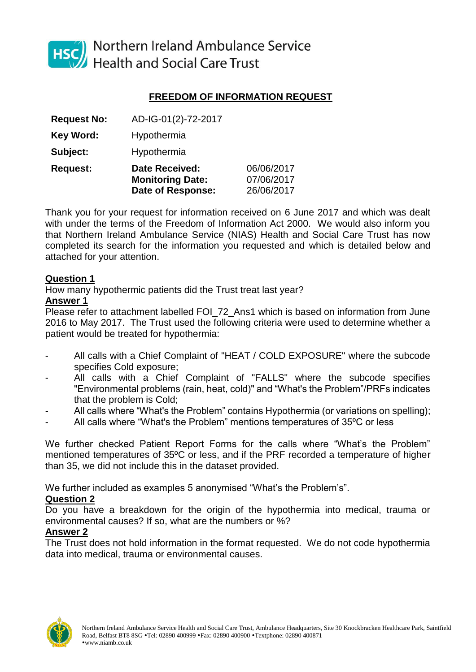

HSC Northern Ireland Ambulance Service<br>Health and Social Care Trust

# **FREEDOM OF INFORMATION REQUEST**

|                    | <b>Monitoring Date:</b><br>Date of Response: | 07/06/2017<br>26/06/2017 |
|--------------------|----------------------------------------------|--------------------------|
| <b>Request:</b>    | <b>Date Received:</b>                        | 06/06/2017               |
| Subject:           | Hypothermia                                  |                          |
| <b>Key Word:</b>   | Hypothermia                                  |                          |
| <b>Request No:</b> | AD-IG-01(2)-72-2017                          |                          |

Thank you for your request for information received on 6 June 2017 and which was dealt with under the terms of the Freedom of Information Act 2000. We would also inform you that Northern Ireland Ambulance Service (NIAS) Health and Social Care Trust has now completed its search for the information you requested and which is detailed below and attached for your attention.

## **Question 1**

How many hypothermic patients did the Trust treat last year?

#### **Answer 1**

Please refer to attachment labelled FOI 72 Ans1 which is based on information from June 2016 to May 2017. The Trust used the following criteria were used to determine whether a patient would be treated for hypothermia:

- All calls with a Chief Complaint of "HEAT / COLD EXPOSURE" where the subcode specifies Cold exposure;
- All calls with a Chief Complaint of "FALLS" where the subcode specifies "Environmental problems (rain, heat, cold)" and "What's the Problem"/PRFs indicates that the problem is Cold;
- All calls where "What's the Problem" contains Hypothermia (or variations on spelling);
- All calls where "What's the Problem" mentions temperatures of 35ºC or less

We further checked Patient Report Forms for the calls where "What's the Problem" mentioned temperatures of 35ºC or less, and if the PRF recorded a temperature of higher than 35, we did not include this in the dataset provided.

We further included as examples 5 anonymised "What's the Problem's".

## **Question 2**

Do you have a breakdown for the origin of the hypothermia into medical, trauma or environmental causes? If so, what are the numbers or %?

## **Answer 2**

The Trust does not hold information in the format requested. We do not code hypothermia data into medical, trauma or environmental causes.

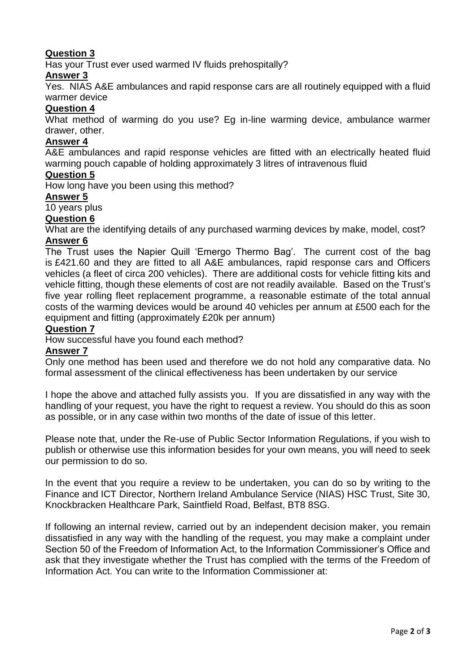## **Question 3**

Has your Trust ever used warmed IV fluids prehospitally?

## **Answer 3**

Yes. NIAS A&E ambulances and rapid response cars are all routinely equipped with a fluid warmer device

## **Question 4**

What method of warming do you use? Eg in-line warming device, ambulance warmer drawer, other.

### **Answer 4**

A&E ambulances and rapid response vehicles are fitted with an electrically heated fluid warming pouch capable of holding approximately 3 litres of intravenous fluid

## **Question 5**

How long have you been using this method?

#### **Answer 5**

10 years plus

## **Question 6**

What are the identifying details of any purchased warming devices by make, model, cost? **Answer 6**

The Trust uses the Napier Quill 'Emergo Thermo Bag'. The current cost of the bag is £421.60 and they are fitted to all A&E ambulances, rapid response cars and Officers vehicles (a fleet of circa 200 vehicles). There are additional costs for vehicle fitting kits and vehicle fitting, though these elements of cost are not readily available. Based on the Trust's five year rolling fleet replacement programme, a reasonable estimate of the total annual costs of the warming devices would be around 40 vehicles per annum at £500 each for the equipment and fitting (approximately £20k per annum)

## **Question 7**

How successful have you found each method?

#### **Answer 7**

Only one method has been used and therefore we do not hold any comparative data. No formal assessment of the clinical effectiveness has been undertaken by our service

I hope the above and attached fully assists you. If you are dissatisfied in any way with the handling of your request, you have the right to request a review. You should do this as soon as possible, or in any case within two months of the date of issue of this letter.

Please note that, under the Re-use of Public Sector Information Regulations, if you wish to publish or otherwise use this information besides for your own means, you will need to seek our permission to do so.

In the event that you require a review to be undertaken, you can do so by writing to the Finance and ICT Director, Northern Ireland Ambulance Service (NIAS) HSC Trust, Site 30, Knockbracken Healthcare Park, Saintfield Road, Belfast, BT8 8SG.

If following an internal review, carried out by an independent decision maker, you remain dissatisfied in any way with the handling of the request, you may make a complaint under Section 50 of the Freedom of Information Act, to the Information Commissioner's Office and ask that they investigate whether the Trust has complied with the terms of the Freedom of Information Act. You can write to the Information Commissioner at: